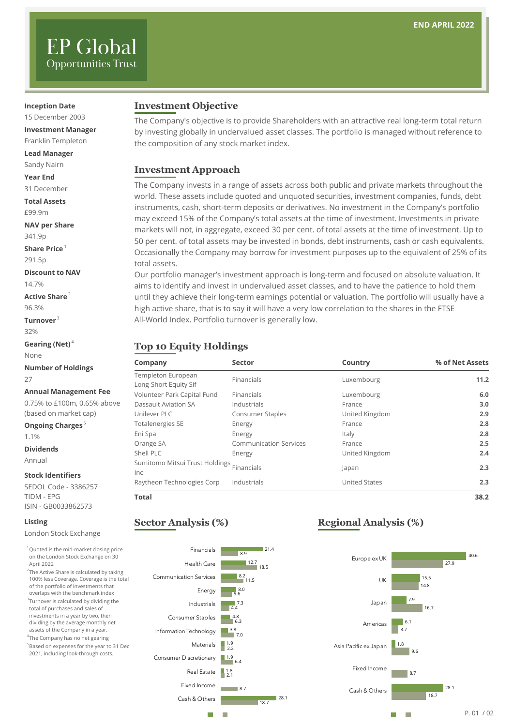# **EP Global Opportunities Trust**

#### **Inception Date**

15 December 2003

**Investment Manager** Franklin Templeton

**Lead Manager** Sandy Nairn

**Year End**

31 December

**Total Assets** £99.9m

**NAV per Share**

341.9p

**Share Price** <sup>1</sup>

291.5p

**Discount to NAV** 14.7%

**Active Share**<sup>2</sup>

96.3% **Turnover** <sup>3</sup>

32%

**Gearing (Net)** <sup>4</sup>

None

**Number of Holdings** 27

#### **Annual Management Fee**

0.75% to £100m, 0.65% above (based on market cap)

**Ongoing Charges**<sup>5</sup> 1.1%

**Dividends**

Annual

#### **Stock Identifiers**

SEDOL Code - 3386257 TIDM - EPG ISIN - GB0033862573

#### **Listing**

London Stock Exchange

<sup>1</sup> Quoted is the mid-market closing price on the London Stock Exchange on 30 April 2022

 $^2$ The Active Share is calculated by taking 100% less Coverage. Coverage is the total of the portfolio of investments that overlaps with the benchmark index <sup>3</sup>Turnover is calculated by dividing the total of purchases and sales of investments in a year by two, then

dividing by the average monthly net assets of the Company in a year. 4 The Company has no net gearing

5 Based on expenses for the year to 31 Dec 2021, including look-through costs.

#### **Investment Objective**

The Company's objective is to provide Shareholders with an attractive real long-term total return by investing globally in undervalued asset classes. The portfolio is managed without reference to the composition of any stock market index.

#### **Investment Approach**

The Company invests in a range of assets across both public and private markets throughout the world. These assets include quoted and unquoted securities, investment companies, funds, debt instruments, cash, short-term deposits or derivatives. No investment in the Company's portfolio may exceed 15% of the Company's total assets at the time of investment. Investments in private markets will not, in aggregate, exceed 30 per cent. of total assets at the time of investment. Up to 50 per cent. of total assets may be invested in bonds, debt instruments, cash or cash equivalents. Occasionally the Company may borrow for investment purposes up to the equivalent of 25% of its total assets.

Our portfolio manager's investment approach is long-term and focused on absolute valuation. It aims to identify and invest in undervalued asset classes, and to have the patience to hold them until they achieve their long-term earnings potential or valuation. The portfolio will usually have a high active share, that is to say it will have a very low correlation to the shares in the FTSE All-World Index. Portfolio turnover is generally low.

## **Top 10 Equity Holdings**

| Company                        | <b>Sector</b>                 | Country        | % of Net Assets |
|--------------------------------|-------------------------------|----------------|-----------------|
| Templeton European             | Financials                    | Luxembourg     | 11.2            |
| Long-Short Equity Sif          |                               |                |                 |
| Volunteer Park Capital Fund    | <b>Financials</b>             | Luxembourg     | 6.0             |
| Dassault Aviation SA           | Industrials                   | France         | 3.0             |
| Unilever PLC                   | Consumer Staples              | United Kingdom | 2.9             |
| <b>Totalenergies SE</b>        | Energy                        | France         | 2.8             |
| Eni Spa                        | Energy                        | Italy          | 2.8             |
| Orange SA                      | <b>Communication Services</b> | France         | 2.5             |
| Shell PLC                      | Energy                        | United Kingdom | 2.4             |
| Sumitomo Mitsui Trust Holdings | Financials                    | Japan          | 2.3             |
| Inc                            |                               |                |                 |
| Raytheon Technologies Corp     | Industrials                   | United States  | 2.3             |
| <b>Total</b>                   |                               |                | 38.2            |

#### **Sector Analysis (%)**



## **Regional Analysis (%)**